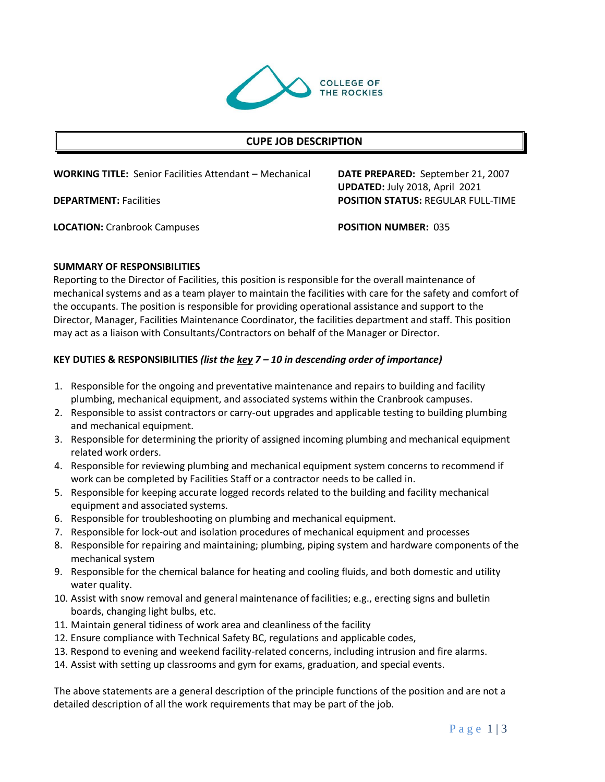

## **CUPE JOB DESCRIPTION**

**WORKING TITLE:** Senior Facilities Attendant – Mechanical **DATE PREPARED:** September 21, 2007

**LOCATION:** Cranbrook Campuses **POSITION NUMBER:** 035

**UPDATED:** July 2018, April 2021 **DEPARTMENT:** Facilities **POSITION STATUS:** REGULAR FULL-TIME

#### **SUMMARY OF RESPONSIBILITIES**

Reporting to the Director of Facilities, this position is responsible for the overall maintenance of mechanical systems and as a team player to maintain the facilities with care for the safety and comfort of the occupants. The position is responsible for providing operational assistance and support to the Director, Manager, Facilities Maintenance Coordinator, the facilities department and staff. This position may act as a liaison with Consultants/Contractors on behalf of the Manager or Director.

### **KEY DUTIES & RESPONSIBILITIES** *(list the key 7 – 10 in descending order of importance)*

- 1. Responsible for the ongoing and preventative maintenance and repairs to building and facility plumbing, mechanical equipment, and associated systems within the Cranbrook campuses.
- 2. Responsible to assist contractors or carry-out upgrades and applicable testing to building plumbing and mechanical equipment.
- 3. Responsible for determining the priority of assigned incoming plumbing and mechanical equipment related work orders.
- 4. Responsible for reviewing plumbing and mechanical equipment system concerns to recommend if work can be completed by Facilities Staff or a contractor needs to be called in.
- 5. Responsible for keeping accurate logged records related to the building and facility mechanical equipment and associated systems.
- 6. Responsible for troubleshooting on plumbing and mechanical equipment.
- 7. Responsible for lock-out and isolation procedures of mechanical equipment and processes
- 8. Responsible for repairing and maintaining; plumbing, piping system and hardware components of the mechanical system
- 9. Responsible for the chemical balance for heating and cooling fluids, and both domestic and utility water quality.
- 10. Assist with snow removal and general maintenance of facilities; e.g., erecting signs and bulletin boards, changing light bulbs, etc.
- 11. Maintain general tidiness of work area and cleanliness of the facility
- 12. Ensure compliance with Technical Safety BC, regulations and applicable codes,
- 13. Respond to evening and weekend facility-related concerns, including intrusion and fire alarms.
- 14. Assist with setting up classrooms and gym for exams, graduation, and special events.

The above statements are a general description of the principle functions of the position and are not a detailed description of all the work requirements that may be part of the job.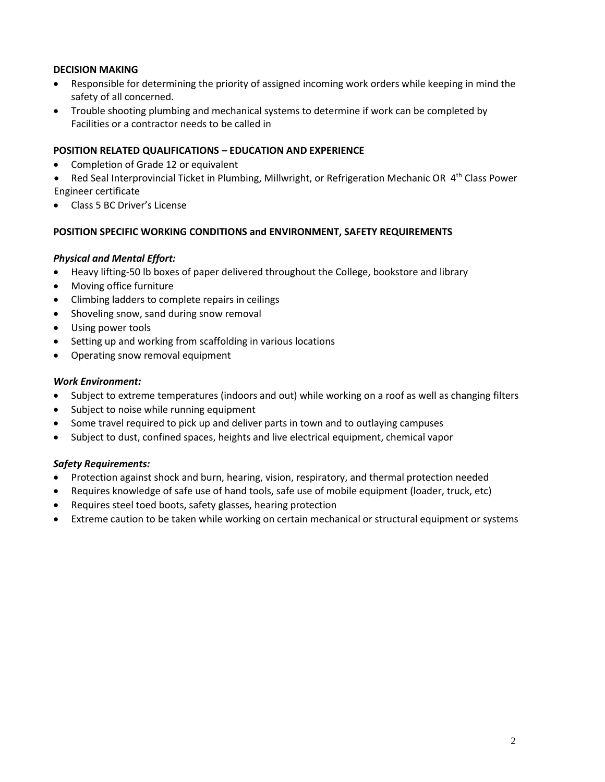## **DECISION MAKING**

- Responsible for determining the priority of assigned incoming work orders while keeping in mind the safety of all concerned.
- Trouble shooting plumbing and mechanical systems to determine if work can be completed by Facilities or a contractor needs to be called in

#### **POSITION RELATED QUALIFICATIONS – EDUCATION AND EXPERIENCE**

- Completion of Grade 12 or equivalent
- Red Seal Interprovincial Ticket in Plumbing, Millwright, or Refrigeration Mechanic OR 4<sup>th</sup> Class Power Engineer certificate
- Class 5 BC Driver's License

#### **POSITION SPECIFIC WORKING CONDITIONS and ENVIRONMENT, SAFETY REQUIREMENTS**

#### *Physical and Mental Effort:*

- Heavy lifting-50 lb boxes of paper delivered throughout the College, bookstore and library
- Moving office furniture
- Climbing ladders to complete repairs in ceilings
- Shoveling snow, sand during snow removal
- Using power tools
- Setting up and working from scaffolding in various locations
- Operating snow removal equipment

### *Work Environment:*

- Subject to extreme temperatures (indoors and out) while working on a roof as well as changing filters
- Subject to noise while running equipment
- Some travel required to pick up and deliver parts in town and to outlaying campuses
- Subject to dust, confined spaces, heights and live electrical equipment, chemical vapor

#### *Safety Requirements:*

- Protection against shock and burn, hearing, vision, respiratory, and thermal protection needed
- Requires knowledge of safe use of hand tools, safe use of mobile equipment (loader, truck, etc)
- Requires steel toed boots, safety glasses, hearing protection
- Extreme caution to be taken while working on certain mechanical or structural equipment or systems